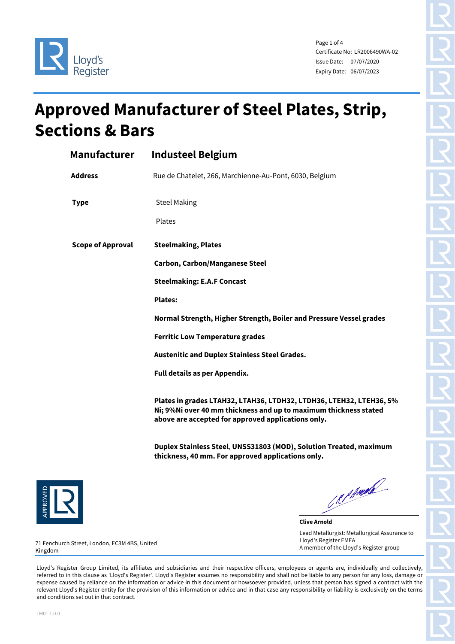

Page 1 of 4 Certificate No: LR2006490WA-02 Issue Date: 07/07/2020 Expiry Date: 06/07/2023

## **Approved Manufacturer of Steel Plates, Strip, Sections & Bars**

| Manufacturer             | <b>Industeel Belgium</b>                                                                                                                                                                      |
|--------------------------|-----------------------------------------------------------------------------------------------------------------------------------------------------------------------------------------------|
| <b>Address</b>           | Rue de Chatelet, 266, Marchienne-Au-Pont, 6030, Belgium                                                                                                                                       |
| <b>Type</b>              | <b>Steel Making</b>                                                                                                                                                                           |
|                          | Plates                                                                                                                                                                                        |
| <b>Scope of Approval</b> | <b>Steelmaking, Plates</b>                                                                                                                                                                    |
|                          | <b>Carbon, Carbon/Manganese Steel</b>                                                                                                                                                         |
|                          | <b>Steelmaking: E.A.F Concast</b>                                                                                                                                                             |
|                          | <b>Plates:</b>                                                                                                                                                                                |
|                          | Normal Strength, Higher Strength, Boiler and Pressure Vessel grades                                                                                                                           |
|                          | <b>Ferritic Low Temperature grades</b>                                                                                                                                                        |
|                          | <b>Austenitic and Duplex Stainless Steel Grades.</b>                                                                                                                                          |
|                          | Full details as per Appendix.                                                                                                                                                                 |
|                          | Plates in grades LTAH32, LTAH36, LTDH32, LTDH36, LTEH32, LTEH36, 5%<br>Ni; 9%Ni over 40 mm thickness and up to maximum thickness stated<br>above are accepted for approved applications only. |
|                          | Duplex Stainless Steel, UNSS31803 (MOD), Solution Treated, maximum<br>thickness, 40 mm. For approved applications only.                                                                       |



C.R. P. Angele

**Clive Arnold** Lead Metallurgist: Metallurgical Assurance to Lloyd's Register EMEA A member of the Lloyd's Register group

71 Fenchurch Street, London, EC3M 4BS, United Kingdom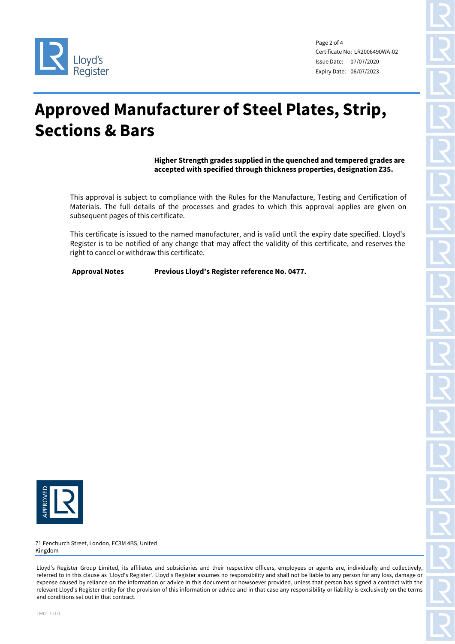

Page 2 of 4 Certificate No: LR2006490WA-02 Issue Date: 07/07/2020 Expiry Date: 06/07/2023

## **Approved Manufacturer of Steel Plates, Strip, Sections & Bars**

**Higher Strength grades supplied in the quenched and tempered grades are accepted with specified through thickness properties, designation Z35.** 

This approval is subject to compliance with the Rules for the Manufacture, Testing and Certification of Materials. The full details of the processes and grades to which this approval applies are given on subsequent pages of this certificate.

This certificate is issued to the named manufacturer, and is valid until the expiry date specified. Lloyd's Register is to be notified of any change that may affect the validity of this certificate, and reserves the right to cancel or withdraw this certificate.

**Approval Notes Previous Lloyd's Register reference No. 0477.**



71 Fenchurch Street, London, EC3M 4BS, United Kingdom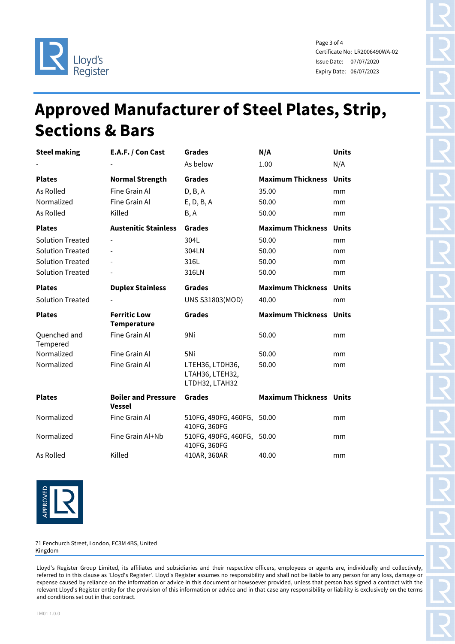

Page 3 of 4 Certificate No: LR2006490WA-02 Issue Date: 07/07/2020 Expiry Date: 06/07/2023

## **Approved Manufacturer of Steel Plates, Strip, Sections & Bars**

| <b>Steel making</b>      | E.A.F. / Con Cast                           | <b>Grades</b>                                        | N/A                            | <b>Units</b> |
|--------------------------|---------------------------------------------|------------------------------------------------------|--------------------------------|--------------|
|                          |                                             | As below                                             | 1.00                           | N/A          |
| <b>Plates</b>            | <b>Normal Strength</b>                      | <b>Grades</b>                                        | <b>Maximum Thickness</b>       | <b>Units</b> |
| As Rolled                | Fine Grain Al                               | D, B, A                                              | 35.00                          | mm           |
| Normalized               | Fine Grain Al                               | E, D, B, A                                           | 50.00                          | mm           |
| As Rolled                | Killed                                      | B, A                                                 | 50.00                          | mm           |
| <b>Plates</b>            | <b>Austenitic Stainless</b>                 | <b>Grades</b>                                        | <b>Maximum Thickness</b>       | <b>Units</b> |
| <b>Solution Treated</b>  |                                             | 304L                                                 | 50.00                          | mm           |
| <b>Solution Treated</b>  | $\overline{\phantom{0}}$                    | 304LN                                                | 50.00                          | mm           |
| <b>Solution Treated</b>  |                                             | 316L                                                 | 50.00                          | mm           |
| <b>Solution Treated</b>  |                                             | 316LN                                                | 50.00                          | mm           |
| <b>Plates</b>            | <b>Duplex Stainless</b>                     | <b>Grades</b>                                        | <b>Maximum Thickness</b>       | <b>Units</b> |
| <b>Solution Treated</b>  |                                             | <b>UNS S31803(MOD)</b>                               | 40.00                          | mm           |
|                          |                                             |                                                      |                                |              |
| <b>Plates</b>            | <b>Ferritic Low</b><br><b>Temperature</b>   | <b>Grades</b>                                        | <b>Maximum Thickness</b>       | <b>Units</b> |
| Quenched and<br>Tempered | Fine Grain Al                               | 9Ni                                                  | 50.00                          | mm           |
| Normalized               | Fine Grain Al                               | 5Ni                                                  | 50.00                          | mm           |
| Normalized               | Fine Grain Al                               | LTEH36, LTDH36,<br>LTAH36, LTEH32,<br>LTDH32, LTAH32 | 50.00                          | mm           |
| <b>Plates</b>            | <b>Boiler and Pressure</b><br><b>Vessel</b> | <b>Grades</b>                                        | <b>Maximum Thickness Units</b> |              |
| Normalized               | Fine Grain Al                               | 510FG, 490FG, 460FG, 50.00<br>410FG, 360FG           |                                | mm           |
| Normalized               | Fine Grain Al+Nb                            | 510FG, 490FG, 460FG,<br>410FG, 360FG                 | 50.00                          | mm           |



71 Fenchurch Street, London, EC3M 4BS, United Kingdom